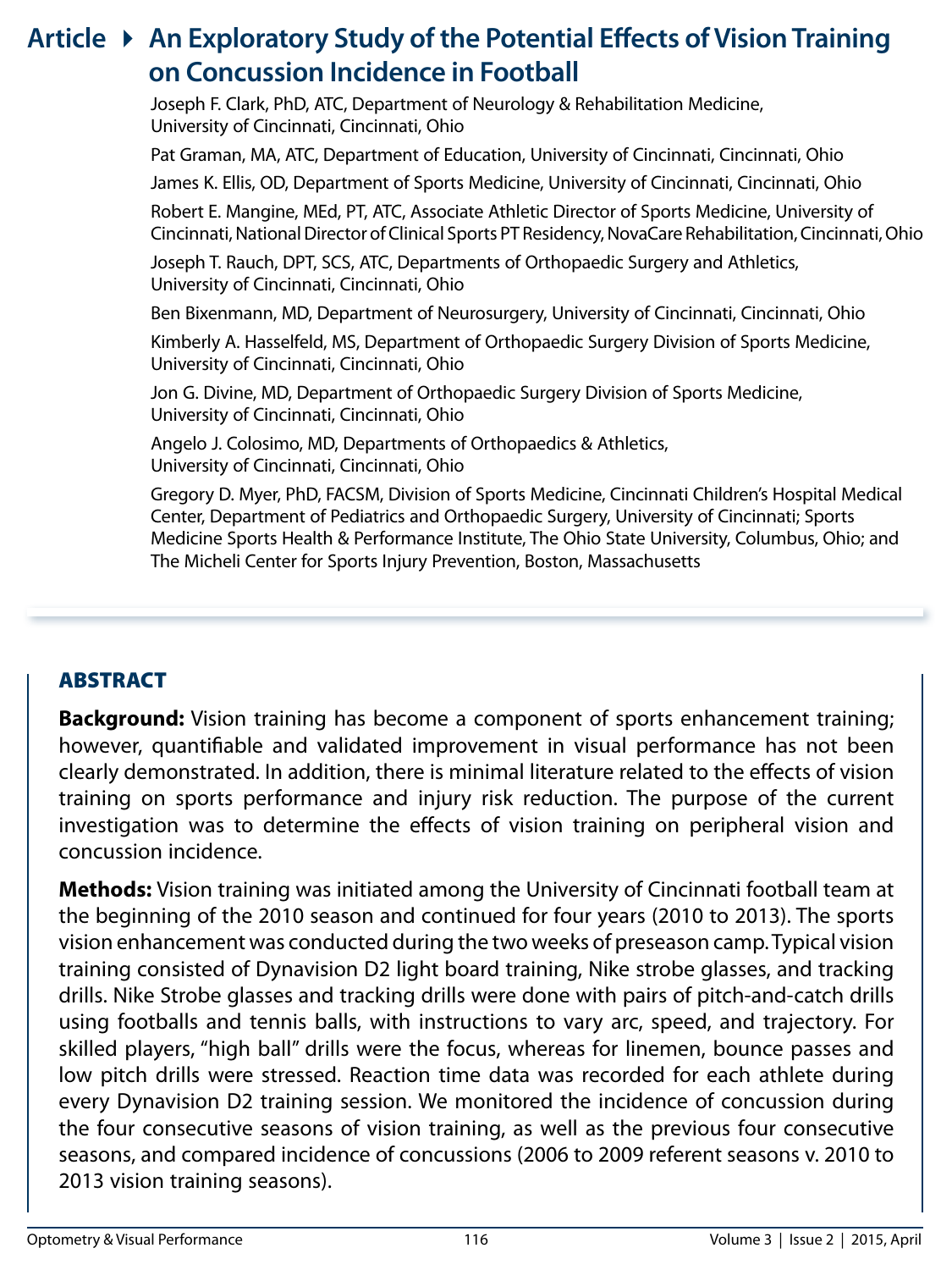# **Article** 4 **An Exploratory Study of the Potential Effects of Vision Training on Concussion Incidence in Football**

Joseph F. Clark, PhD, ATC, Department of Neurology & Rehabilitation Medicine, University of Cincinnati, Cincinnati, Ohio

Pat Graman, MA, ATC, Department of Education, University of Cincinnati, Cincinnati, Ohio

James K. Ellis, OD, Department of Sports Medicine, University of Cincinnati, Cincinnati, Ohio

Robert E. Mangine, MEd, PT, ATC, Associate Athletic Director of Sports Medicine, University of Cincinnati, National Director of Clinical Sports PT Residency, NovaCare Rehabilitation, Cincinnati, Ohio

Joseph T. Rauch, DPT, SCS, ATC, Departments of Orthopaedic Surgery and Athletics, University of Cincinnati, Cincinnati, Ohio

Ben Bixenmann, MD, Department of Neurosurgery, University of Cincinnati, Cincinnati, Ohio

Kimberly A. Hasselfeld, MS, Department of Orthopaedic Surgery Division of Sports Medicine, University of Cincinnati, Cincinnati, Ohio

Jon G. Divine, MD, Department of Orthopaedic Surgery Division of Sports Medicine, University of Cincinnati, Cincinnati, Ohio

Angelo J. Colosimo, MD, Departments of Orthopaedics & Athletics, University of Cincinnati, Cincinnati, Ohio

Gregory D. Myer, PhD, FACSM, Division of Sports Medicine, Cincinnati Children's Hospital Medical Center, Department of Pediatrics and Orthopaedic Surgery, University of Cincinnati; Sports Medicine Sports Health & Performance Institute, The Ohio State University, Columbus, Ohio; and The Micheli Center for Sports Injury Prevention, Boston, Massachusetts

# ABSTRACT

**Background:** Vision training has become a component of sports enhancement training; however, quantifiable and validated improvement in visual performance has not been clearly demonstrated. In addition, there is minimal literature related to the effects of vision training on sports performance and injury risk reduction. The purpose of the current investigation was to determine the effects of vision training on peripheral vision and concussion incidence.

**Methods:** Vision training was initiated among the University of Cincinnati football team at the beginning of the 2010 season and continued for four years (2010 to 2013). The sports vision enhancement was conducted during the two weeks of preseason camp. Typical vision training consisted of Dynavision D2 light board training, Nike strobe glasses, and tracking drills. Nike Strobe glasses and tracking drills were done with pairs of pitch-and-catch drills using footballs and tennis balls, with instructions to vary arc, speed, and trajectory. For skilled players, "high ball" drills were the focus, whereas for linemen, bounce passes and low pitch drills were stressed. Reaction time data was recorded for each athlete during every Dynavision D2 training session. We monitored the incidence of concussion during the four consecutive seasons of vision training, as well as the previous four consecutive seasons, and compared incidence of concussions (2006 to 2009 referent seasons v. 2010 to 2013 vision training seasons).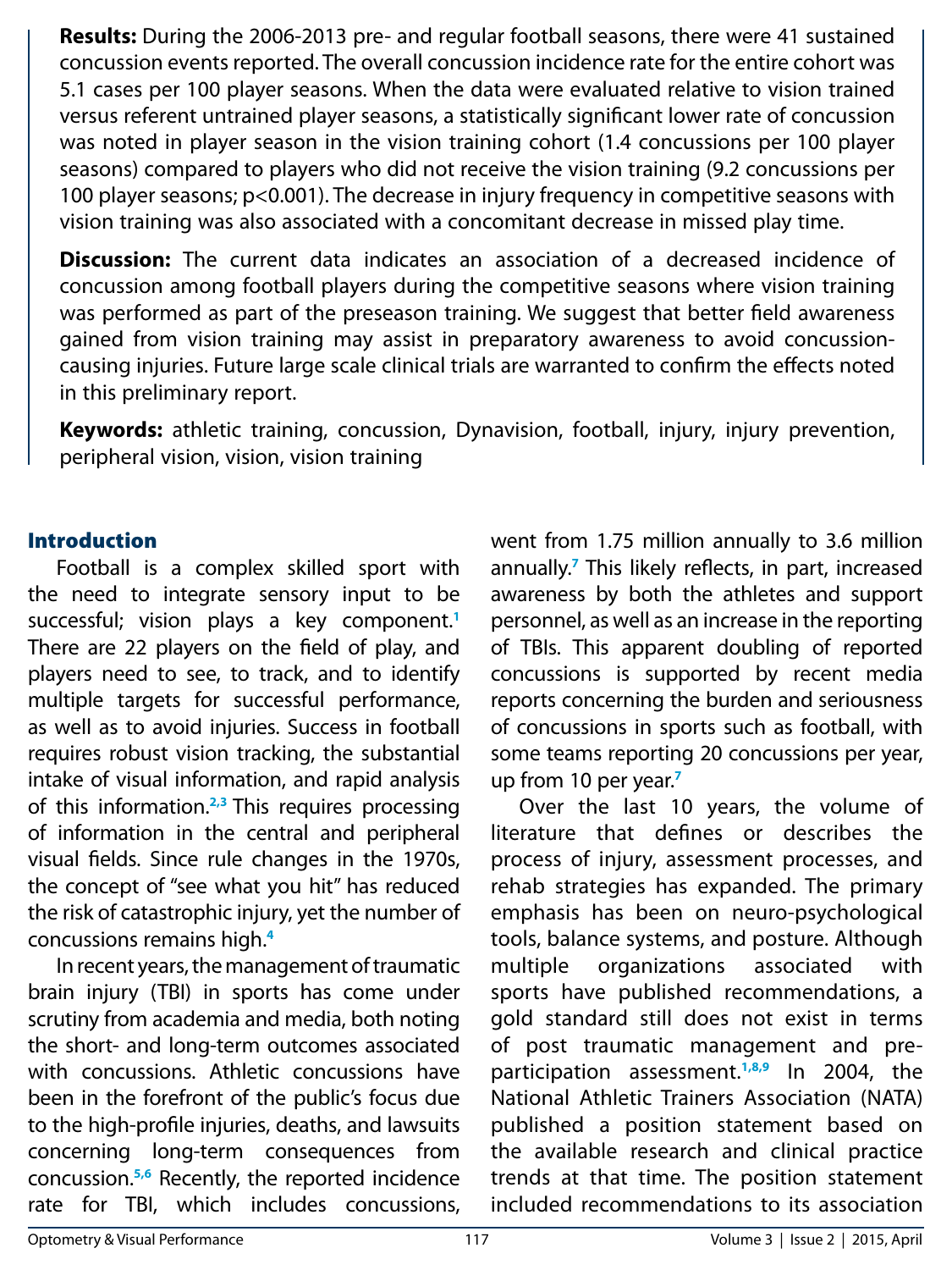**Results:** During the 2006-2013 pre- and regular football seasons, there were 41 sustained concussion events reported. The overall concussion incidence rate for the entire cohort was 5.1 cases per 100 player seasons. When the data were evaluated relative to vision trained versus referent untrained player seasons, a statistically significant lower rate of concussion was noted in player season in the vision training cohort (1.4 concussions per 100 player seasons) compared to players who did not receive the vision training (9.2 concussions per 100 player seasons; p<0.001). The decrease in injury frequency in competitive seasons with vision training was also associated with a concomitant decrease in missed play time.

**Discussion:** The current data indicates an association of a decreased incidence of concussion among football players during the competitive seasons where vision training was performed as part of the preseason training. We suggest that better field awareness gained from vision training may assist in preparatory awareness to avoid concussioncausing injuries. Future large scale clinical trials are warranted to confirm the effects noted in this preliminary report.

**Keywords:** athletic training, concussion, Dynavision, football, injury, injury prevention, peripheral vision, vision, vision training

### Introduction

Football is a complex skilled sport with the need to integrate sensory input to be successful; vision plays a key component.**<sup>1</sup>** There are 22 players on the field of play, and players need to see, to track, and to identify multiple targets for successful performance, as well as to avoid injuries. Success in football requires robust vision tracking, the substantial intake of visual information, and rapid analysis of this information.**2,3** This requires processing of information in the central and peripheral visual fields. Since rule changes in the 1970s, the concept of "see what you hit" has reduced the risk of catastrophic injury, yet the number of concussions remains high.**<sup>4</sup>**

In recent years, the management of traumatic brain injury (TBI) in sports has come under scrutiny from academia and media, both noting the short- and long-term outcomes associated with concussions. Athletic concussions have been in the forefront of the public's focus due to the high-profile injuries, deaths, and lawsuits concerning long-term consequences from concussion.**5,6** Recently, the reported incidence rate for TBI, which includes concussions, went from 1.75 million annually to 3.6 million annually.**<sup>7</sup>** This likely reflects, in part, increased awareness by both the athletes and support personnel, as well as an increase in the reporting of TBIs. This apparent doubling of reported concussions is supported by recent media reports concerning the burden and seriousness of concussions in sports such as football, with some teams reporting 20 concussions per year, up from 10 per year.**<sup>7</sup>**

Over the last 10 years, the volume of literature that defines or describes the process of injury, assessment processes, and rehab strategies has expanded. The primary emphasis has been on neuro-psychological tools, balance systems, and posture. Although multiple organizations associated with sports have published recommendations, a gold standard still does not exist in terms of post traumatic management and preparticipation assessment.**1,8,9** In 2004, the National Athletic Trainers Association (NATA) published a position statement based on the available research and clinical practice trends at that time. The position statement included recommendations to its association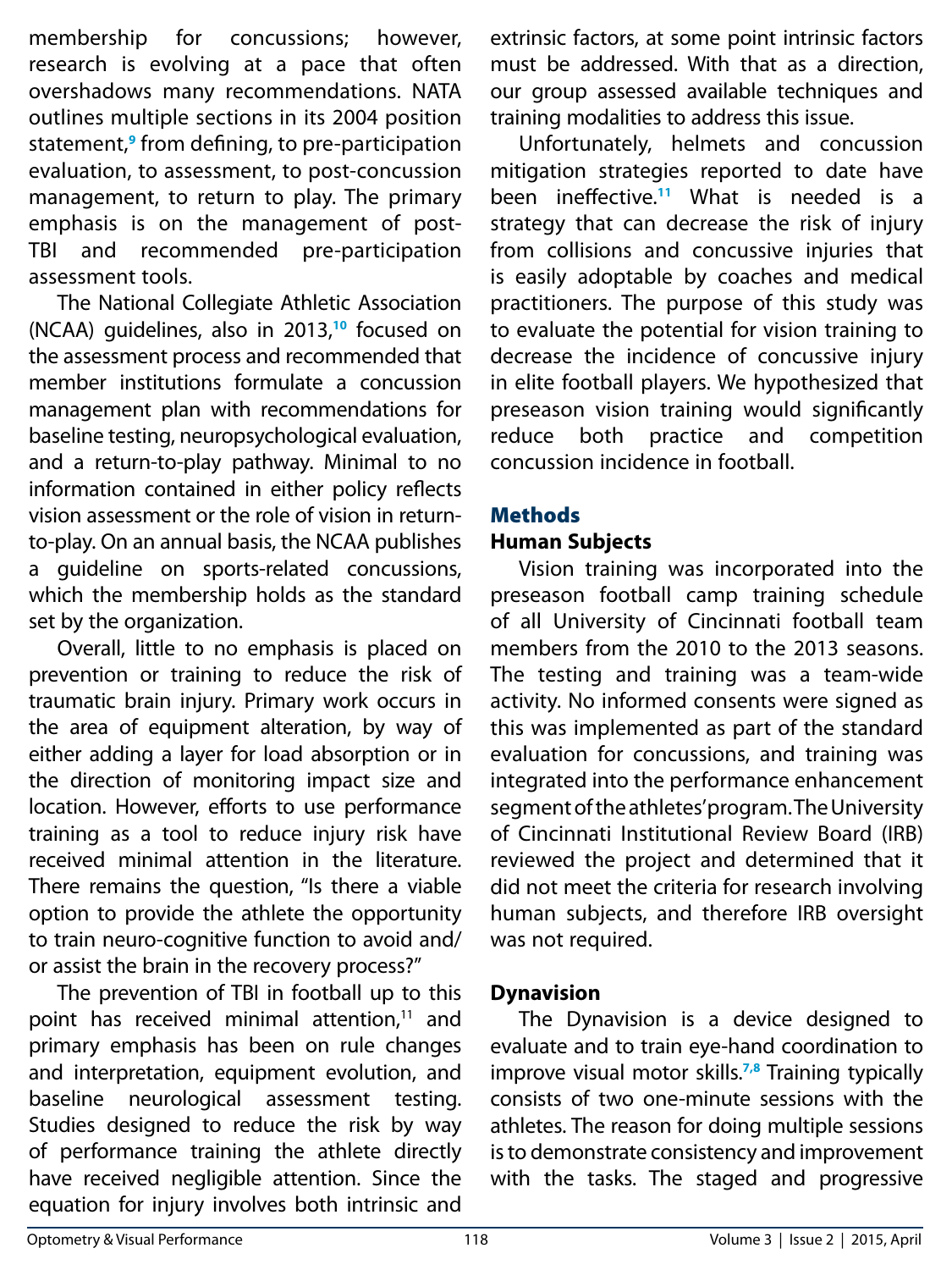membership for concussions; however, research is evolving at a pace that often overshadows many recommendations. NATA outlines multiple sections in its 2004 position statement,**<sup>9</sup>** from defining, to pre-participation evaluation, to assessment, to post-concussion management, to return to play. The primary emphasis is on the management of post-TBI and recommended pre-participation assessment tools.

The National Collegiate Athletic Association (NCAA) guidelines, also in 2013,**<sup>10</sup>** focused on the assessment process and recommended that member institutions formulate a concussion management plan with recommendations for baseline testing, neuropsychological evaluation, and a return-to-play pathway. Minimal to no information contained in either policy reflects vision assessment or the role of vision in returnto-play. On an annual basis, the NCAA publishes a guideline on sports-related concussions, which the membership holds as the standard set by the organization.

Overall, little to no emphasis is placed on prevention or training to reduce the risk of traumatic brain injury. Primary work occurs in the area of equipment alteration, by way of either adding a layer for load absorption or in the direction of monitoring impact size and location. However, efforts to use performance training as a tool to reduce injury risk have received minimal attention in the literature. There remains the question, "Is there a viable option to provide the athlete the opportunity to train neuro-cognitive function to avoid and/ or assist the brain in the recovery process?"

The prevention of TBI in football up to this point has received minimal attention, $11$  and primary emphasis has been on rule changes and interpretation, equipment evolution, and baseline neurological assessment testing. Studies designed to reduce the risk by way of performance training the athlete directly have received negligible attention. Since the equation for injury involves both intrinsic and

extrinsic factors, at some point intrinsic factors must be addressed. With that as a direction, our group assessed available techniques and training modalities to address this issue.

Unfortunately, helmets and concussion mitigation strategies reported to date have been ineffective.**<sup>11</sup>** What is needed is a strategy that can decrease the risk of injury from collisions and concussive injuries that is easily adoptable by coaches and medical practitioners. The purpose of this study was to evaluate the potential for vision training to decrease the incidence of concussive injury in elite football players. We hypothesized that preseason vision training would significantly reduce both practice and competition concussion incidence in football.

# Methods

# **Human Subjects**

Vision training was incorporated into the preseason football camp training schedule of all University of Cincinnati football team members from the 2010 to the 2013 seasons. The testing and training was a team-wide activity. No informed consents were signed as this was implemented as part of the standard evaluation for concussions, and training was integrated into the performance enhancement segment of the athletes' program. The University of Cincinnati Institutional Review Board (IRB) reviewed the project and determined that it did not meet the criteria for research involving human subjects, and therefore IRB oversight was not required.

# **Dynavision**

The Dynavision is a device designed to evaluate and to train eye-hand coordination to improve visual motor skills.**7,8** Training typically consists of two one-minute sessions with the athletes. The reason for doing multiple sessions is to demonstrate consistency and improvement with the tasks. The staged and progressive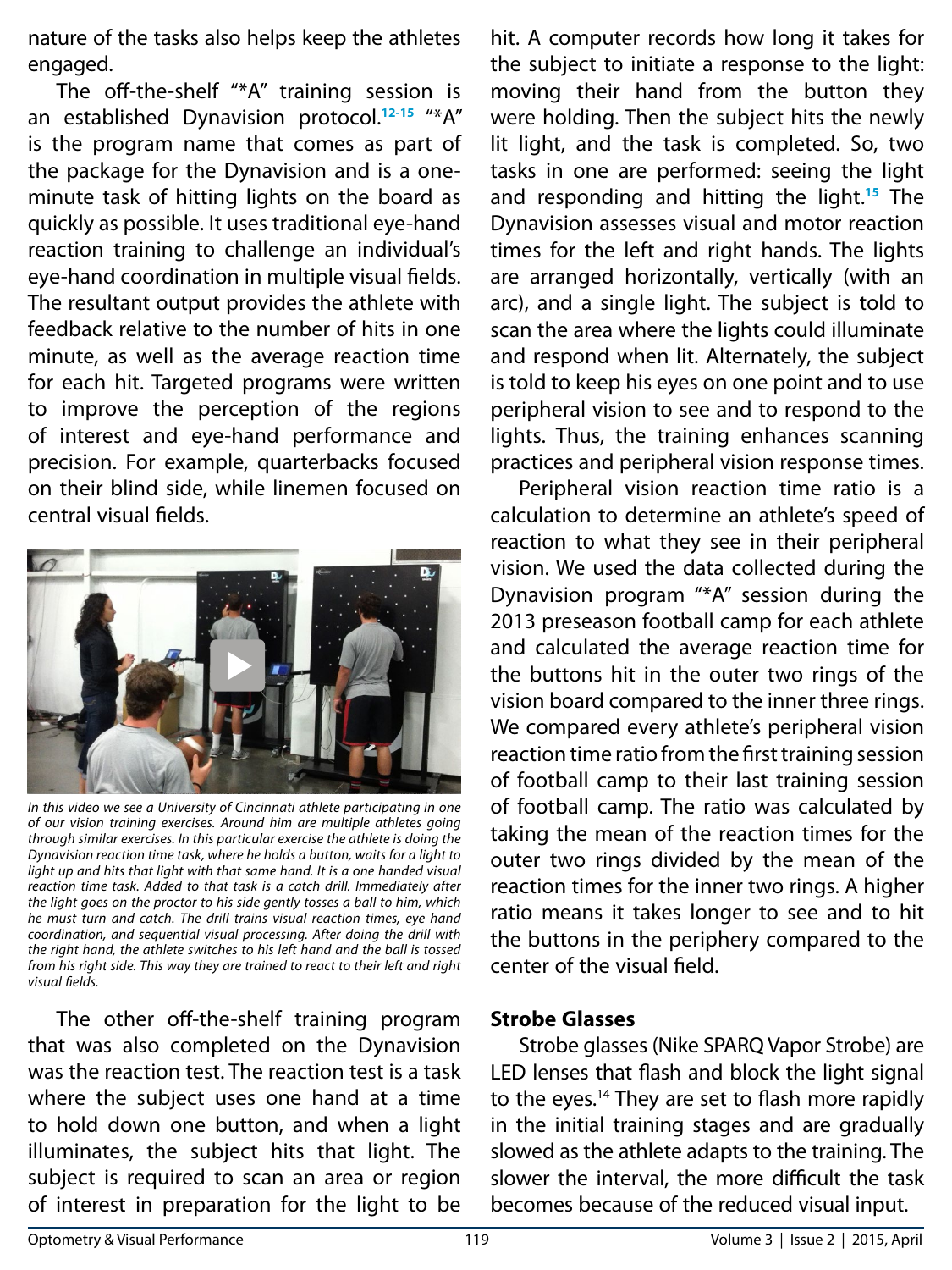nature of the tasks also helps keep the athletes engaged.

The off-the-shelf "\*A" training session is an established Dynavision protocol.**12-15** "\*A" is the program name that comes as part of the package for the Dynavision and is a oneminute task of hitting lights on the board as quickly as possible. It uses traditional eye-hand reaction training to challenge an individual's eye-hand coordination in multiple visual fields. The resultant output provides the athlete with feedback relative to the number of hits in one minute, as well as the average reaction time for each hit. Targeted programs were written to improve the perception of the regions of interest and eye-hand performance and precision. For example, quarterbacks focused on their blind side, while linemen focused on central visual fields.



*In this video we see a University of Cincinnati athlete participating in one of our vision training exercises. Around him are multiple athletes going through similar exercises. In this particular exercise the athlete is doing the Dynavision reaction time task, where he holds a button, waits for a light to*  light up and hits that light with that same hand. It is a one handed visual *reaction time task. Added to that task is a catch drill. Immediately after the light goes on the proctor to his side gently tosses a ball to him, which he must turn and catch. The drill trains visual reaction times, eye hand coordination, and sequential visual processing. After doing the drill with the right hand, the athlete switches to his left hand and the ball is tossed from his right side. This way they are trained to react to their left and right visual fields.*

The other off-the-shelf training program that was also completed on the Dynavision was the reaction test. The reaction test is a task where the subject uses one hand at a time to hold down one button, and when a light illuminates, the subject hits that light. The subject is required to scan an area or region of interest in preparation for the light to be

hit. A computer records how long it takes for the subject to initiate a response to the light: moving their hand from the button they were holding. Then the subject hits the newly lit light, and the task is completed. So, two tasks in one are performed: seeing the light and responding and hitting the light.**<sup>15</sup>** The Dynavision assesses visual and motor reaction times for the left and right hands. The lights are arranged horizontally, vertically (with an arc), and a single light. The subject is told to scan the area where the lights could illuminate and respond when lit. Alternately, the subject is told to keep his eyes on one point and to use peripheral vision to see and to respond to the lights. Thus, the training enhances scanning practices and peripheral vision response times.

Peripheral vision reaction time ratio is a calculation to determine an athlete's speed of reaction to what they see in their peripheral vision. We used the data collected during the Dynavision program "\*A" session during the 2013 preseason football camp for each athlete and calculated the average reaction time for the buttons hit in the outer two rings of the vision board compared to the inner three rings. We compared every athlete's peripheral vision reaction time ratio from the first training session of football camp to their last training session of football camp. The ratio was calculated by taking the mean of the reaction times for the outer two rings divided by the mean of the reaction times for the inner two rings. A higher ratio means it takes longer to see and to hit the buttons in the periphery compared to the center of the visual field.

#### **Strobe Glasses**

Strobe glasses (Nike SPARQ Vapor Strobe) are LED lenses that flash and block the light signal to the eyes.<sup>14</sup> They are set to flash more rapidly in the initial training stages and are gradually slowed as the athlete adapts to the training. The slower the interval, the more difficult the task becomes because of the reduced visual input.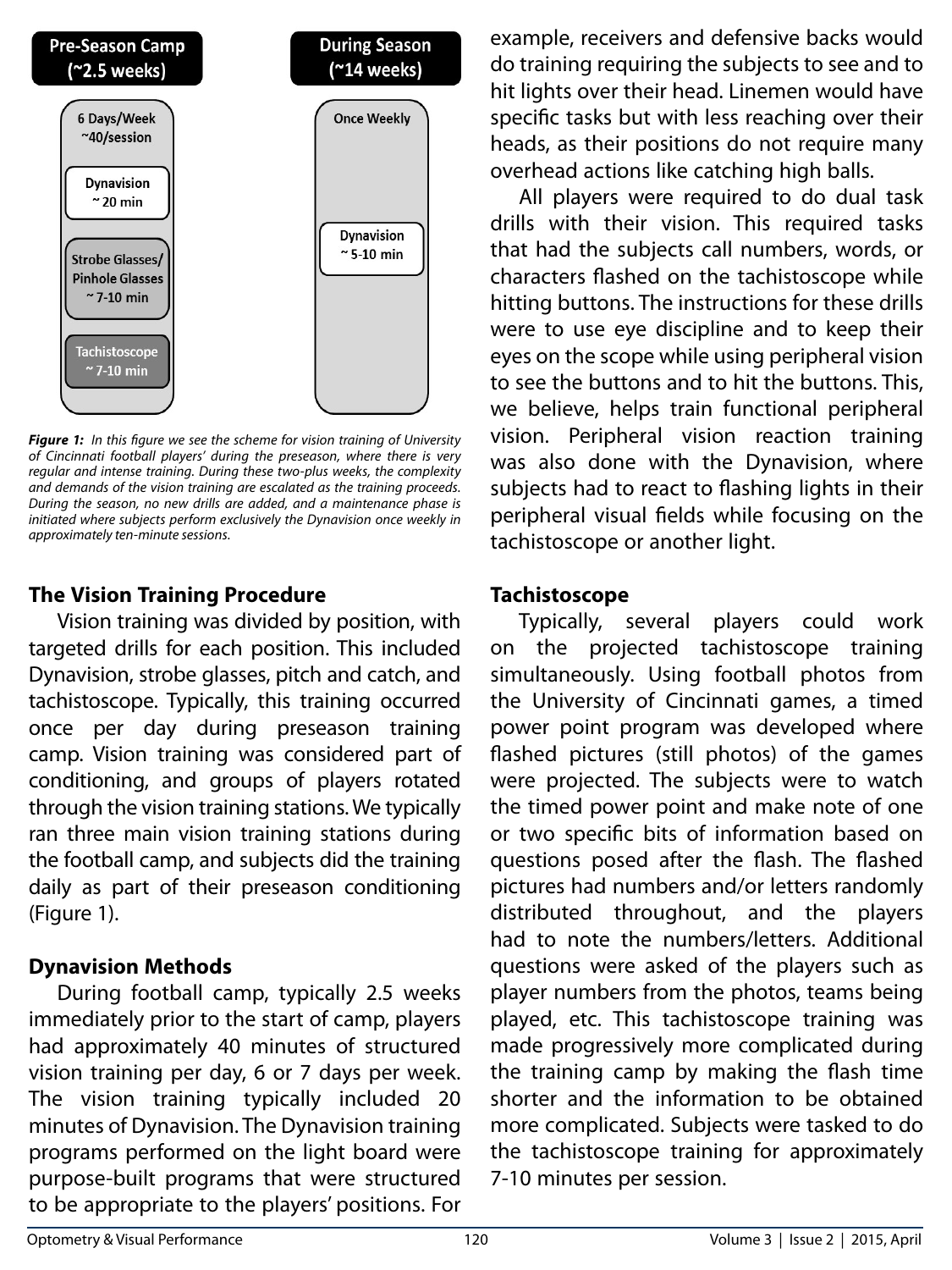

*Figure 1: In this figure we see the scheme for vision training of University of Cincinnati football players' during the preseason, where there is very regular and intense training. During these two-plus weeks, the complexity and demands of the vision training are escalated as the training proceeds. During the season, no new drills are added, and a maintenance phase is initiated where subjects perform exclusively the Dynavision once weekly in approximately ten-minute sessions.* 

# **The Vision Training Procedure**

Vision training was divided by position, with targeted drills for each position. This included Dynavision, strobe glasses, pitch and catch, and tachistoscope. Typically, this training occurred once per day during preseason training camp. Vision training was considered part of conditioning, and groups of players rotated through the vision training stations. We typically ran three main vision training stations during the football camp, and subjects did the training daily as part of their preseason conditioning (Figure 1).

# **Dynavision Methods**

During football camp, typically 2.5 weeks immediately prior to the start of camp, players had approximately 40 minutes of structured vision training per day, 6 or 7 days per week. The vision training typically included 20 minutes of Dynavision. The Dynavision training programs performed on the light board were purpose-built programs that were structured to be appropriate to the players' positions. For

example, receivers and defensive backs would do training requiring the subjects to see and to hit lights over their head. Linemen would have specific tasks but with less reaching over their heads, as their positions do not require many overhead actions like catching high balls.

All players were required to do dual task drills with their vision. This required tasks that had the subjects call numbers, words, or characters flashed on the tachistoscope while hitting buttons. The instructions for these drills were to use eye discipline and to keep their eyes on the scope while using peripheral vision to see the buttons and to hit the buttons. This, we believe, helps train functional peripheral vision. Peripheral vision reaction training was also done with the Dynavision, where subjects had to react to flashing lights in their peripheral visual fields while focusing on the tachistoscope or another light.

# **Tachistoscope**

Typically, several players could work on the projected tachistoscope training simultaneously. Using football photos from the University of Cincinnati games, a timed power point program was developed where flashed pictures (still photos) of the games were projected. The subjects were to watch the timed power point and make note of one or two specific bits of information based on questions posed after the flash. The flashed pictures had numbers and/or letters randomly distributed throughout, and the players had to note the numbers/letters. Additional questions were asked of the players such as player numbers from the photos, teams being played, etc. This tachistoscope training was made progressively more complicated during the training camp by making the flash time shorter and the information to be obtained more complicated. Subjects were tasked to do the tachistoscope training for approximately 7-10 minutes per session.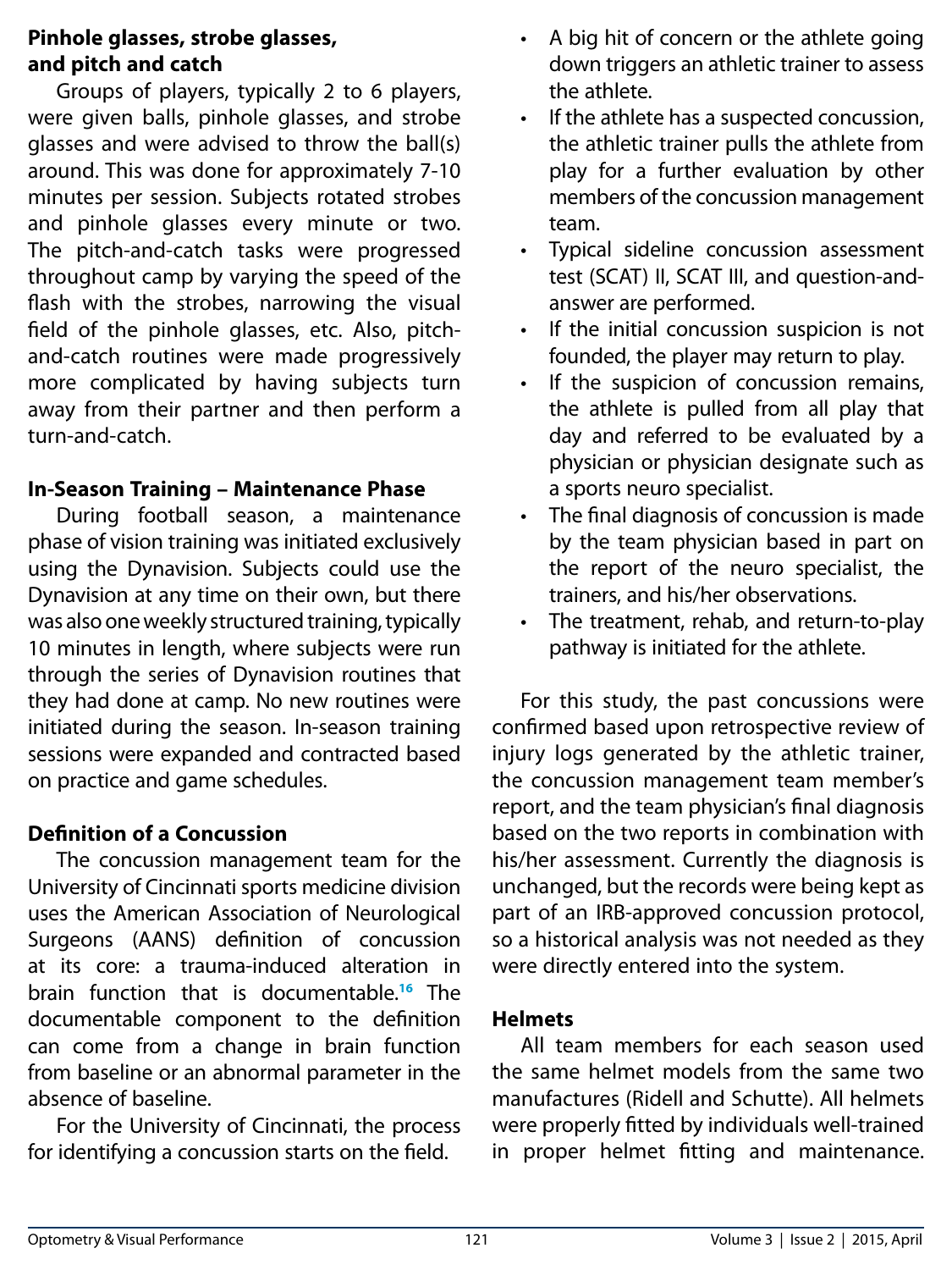### **Pinhole glasses, strobe glasses, and pitch and catch**

Groups of players, typically 2 to 6 players, were given balls, pinhole glasses, and strobe glasses and were advised to throw the ball(s) around. This was done for approximately 7-10 minutes per session. Subjects rotated strobes and pinhole glasses every minute or two. The pitch-and-catch tasks were progressed throughout camp by varying the speed of the flash with the strobes, narrowing the visual field of the pinhole glasses, etc. Also, pitchand-catch routines were made progressively more complicated by having subjects turn away from their partner and then perform a turn-and-catch.

### **In-Season Training – Maintenance Phase**

During football season, a maintenance phase of vision training was initiated exclusively using the Dynavision. Subjects could use the Dynavision at any time on their own, but there was also one weekly structured training, typically 10 minutes in length, where subjects were run through the series of Dynavision routines that they had done at camp. No new routines were initiated during the season. In-season training sessions were expanded and contracted based on practice and game schedules.

# **Definition of a Concussion**

The concussion management team for the University of Cincinnati sports medicine division uses the American Association of Neurological Surgeons (AANS) definition of concussion at its core: a trauma-induced alteration in brain function that is documentable.**<sup>16</sup>** The documentable component to the definition can come from a change in brain function from baseline or an abnormal parameter in the absence of baseline.

For the University of Cincinnati, the process for identifying a concussion starts on the field.

- A big hit of concern or the athlete going down triggers an athletic trainer to assess the athlete.
- If the athlete has a suspected concussion, the athletic trainer pulls the athlete from play for a further evaluation by other members of the concussion management team.
- Typical sideline concussion assessment test (SCAT) II, SCAT III, and question-andanswer are performed.
- If the initial concussion suspicion is not founded, the player may return to play.
- If the suspicion of concussion remains, the athlete is pulled from all play that day and referred to be evaluated by a physician or physician designate such as a sports neuro specialist.
- The final diagnosis of concussion is made by the team physician based in part on the report of the neuro specialist, the trainers, and his/her observations.
- The treatment, rehab, and return-to-play pathway is initiated for the athlete.

For this study, the past concussions were confirmed based upon retrospective review of injury logs generated by the athletic trainer, the concussion management team member's report, and the team physician's final diagnosis based on the two reports in combination with his/her assessment. Currently the diagnosis is unchanged, but the records were being kept as part of an IRB-approved concussion protocol, so a historical analysis was not needed as they were directly entered into the system.

### **Helmets**

All team members for each season used the same helmet models from the same two manufactures (Ridell and Schutte). All helmets were properly fitted by individuals well-trained in proper helmet fitting and maintenance.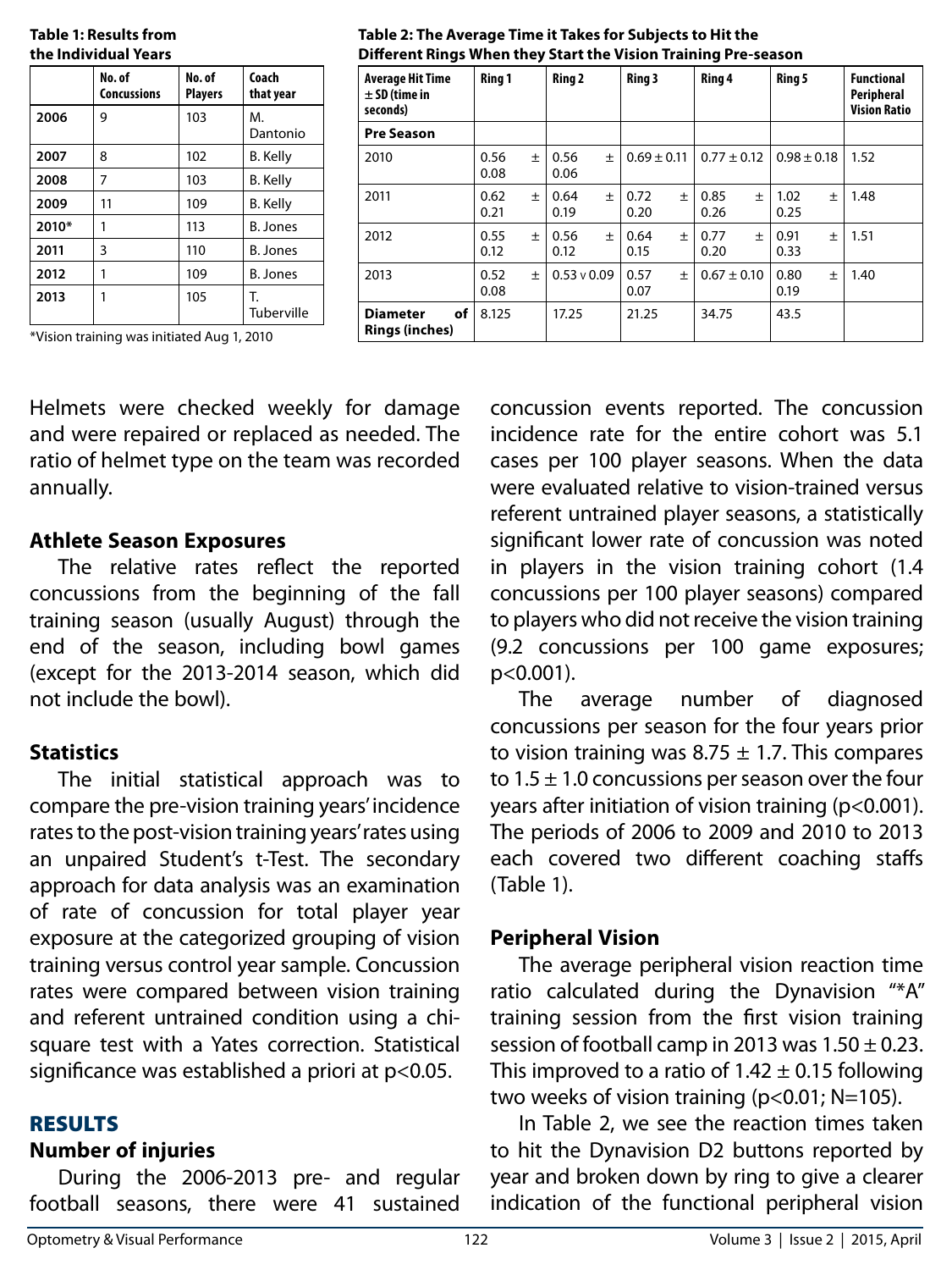| the Individual Years |                              |                          |                    |
|----------------------|------------------------------|--------------------------|--------------------|
|                      | No. of<br><b>Concussions</b> | No. of<br><b>Players</b> | Coach<br>that year |
| 2006                 | 9                            | 103                      | М.<br>Dantonio     |
| 2007                 | 8                            | 102                      | <b>B.</b> Kelly    |
| 2008                 | 7                            | 103                      | <b>B.</b> Kelly    |
| 2009                 | 11                           | 109                      | B. Kelly           |
| 2010*                | 1                            | 113                      | B. Jones           |
| 2011                 | 3                            | 110                      | B. Jones           |
| 2012                 | 1                            | 109                      | <b>B.</b> Jones    |
| 2013                 | 1                            | 105                      | Т.<br>Tuberville   |

**Table 1: Results from** 

**Table 2: The Average Time it Takes for Subjects to Hit the Different Rings When they Start the Vision Training Pre-season** 

 $0.56 +$ 0.06

 $0.64 +$ 0.19

0.56  $\pm$ 0.12

 $0.53 \vee 0.09$  0.57  $\pm$ 0.07

8.125 17.25 21.25 34.75 43.5

**Average Hit Time ± SD (time in seconds)**

**Pre Season**

2010  $\vert 0.56 \pm 1 \rangle$ 

2011  $\Big| 0.62 \Big| \pm$ 

2012  $\Big| 0.55 \Big| \pm$ 

2013  $\vert 0.52 \pm \frac{1}{2} \vert 0.52 \pm \frac{1}{2} \vert 0.52 \pm \frac{1}{2} \vert 0.52 \pm \frac{1}{2} \vert 0.52 \pm \frac{1}{2} \vert 0.52 \pm \frac{1}{2} \vert 0.52 \pm \frac{1}{2} \vert 0.52 \pm \frac{1}{2} \vert 0.52 \pm \frac{1}{2} \vert 0.52 \pm \frac{1}{2} \vert 0.52 \pm \frac{1}{2} \vert 0.52 \pm \frac{1}{2} \vert 0.52 \pm \frac{1}{2} \vert 0.52$ 

**Diameter of Rings (inches)**

0.08

0.21

0.12

0.08

\*Vision training was initiated Aug 1, 2010

Helmets were checked weekly for damage and were repaired or replaced as needed. The ratio of helmet type on the team was recorded annually.

#### **Athlete Season Exposures**

The relative rates reflect the reported concussions from the beginning of the fall training season (usually August) through the end of the season, including bowl games (except for the 2013-2014 season, which did not include the bowl).

### **Statistics**

The initial statistical approach was to compare the pre-vision training years' incidence rates to the post-vision training years' rates using an unpaired Student's t-Test. The secondary approach for data analysis was an examination of rate of concussion for total player year exposure at the categorized grouping of vision training versus control year sample. Concussion rates were compared between vision training and referent untrained condition using a chisquare test with a Yates correction. Statistical significance was established a priori at p<0.05.

#### RESULTS

# **Number of injuries**

During the 2006-2013 pre- and regular football seasons, there were 41 sustained

incidence rate for the entire cohort was 5.1 cases per 100 player seasons. When the data were evaluated relative to vision-trained versus referent untrained player seasons, a statistically significant lower rate of concussion was noted in players in the vision training cohort (1.4 concussions per 100 player seasons) compared to players who did not receive the vision training (9.2 concussions per 100 game exposures; p<0.001).

concussion events reported. The concussion

**Ring 1 Ring 2 Ring 3 Ring 4 Ring 5 Functional** 

 $0.72 +$ 0.20

0.64  $\pm$ 0.15

 $0.69 \pm 0.11$   $0.77 \pm 0.12$   $0.98 \pm 0.18$  1.52

 $0.67 \pm 0.10$  0.80  $\pm$ 0.19

 $1.02 +$ 0.25

0.91  $\pm$ 0.33

 $0.85 +$ 0.26

0.77  $\pm$ 0.20

**Peripheral Vision Ratio**

1.48

1.51

1.40

The average number of diagnosed concussions per season for the four years prior to vision training was  $8.75 \pm 1.7$ . This compares to  $1.5 \pm 1.0$  concussions per season over the four years after initiation of vision training (p<0.001). The periods of 2006 to 2009 and 2010 to 2013 each covered two different coaching staffs (Table 1).

# **Peripheral Vision**

The average peripheral vision reaction time ratio calculated during the Dynavision "\*A" training session from the first vision training session of football camp in 2013 was  $1.50 \pm 0.23$ . This improved to a ratio of  $1.42 \pm 0.15$  following two weeks of vision training (p<0.01; N=105).

In Table 2, we see the reaction times taken to hit the Dynavision D2 buttons reported by year and broken down by ring to give a clearer indication of the functional peripheral vision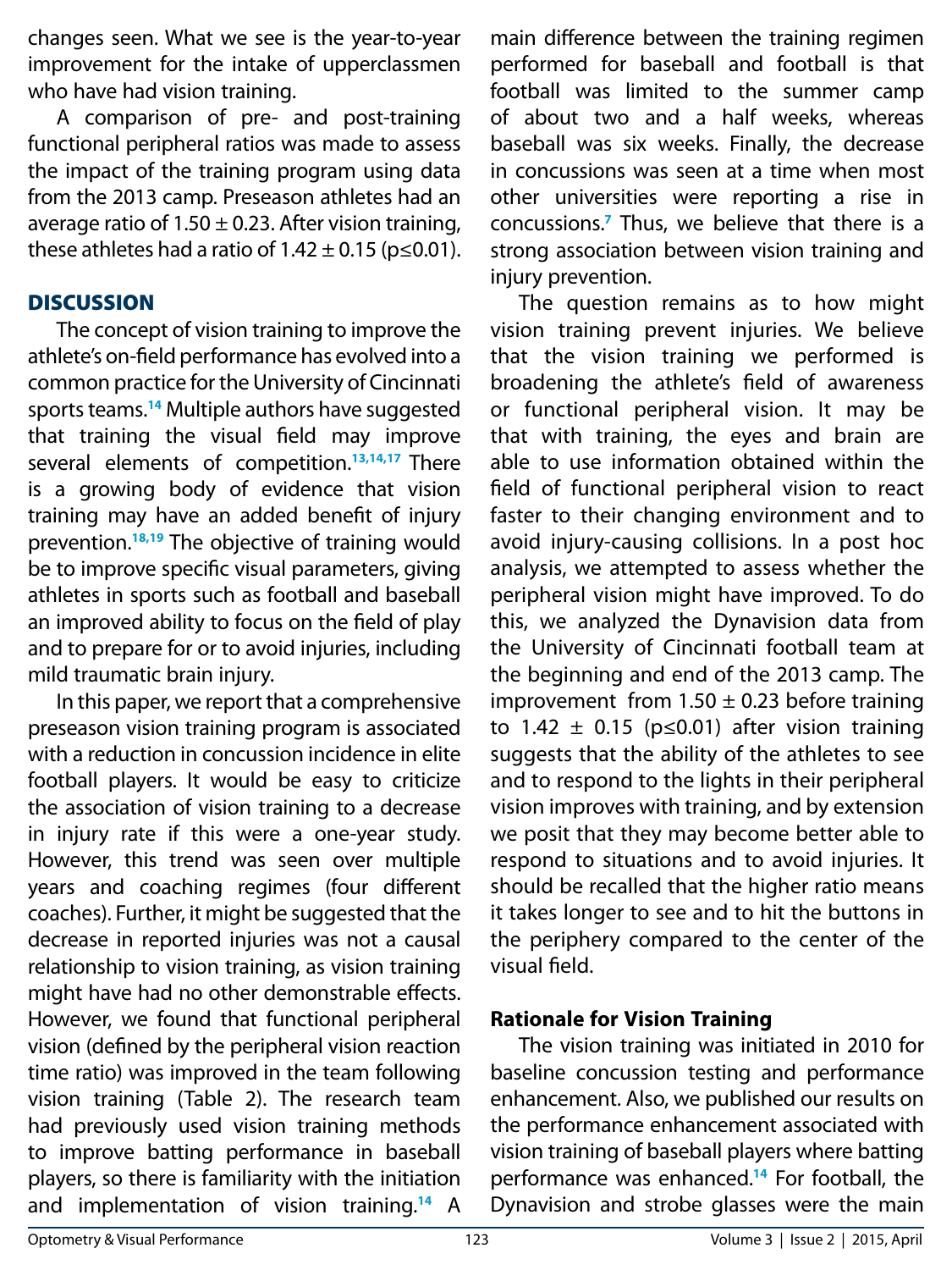changes seen. What we see is the year-to-year improvement for the intake of upperclassmen who have had vision training.

A comparison of pre- and post-training functional peripheral ratios was made to assess the impact of the training program using data from the 2013 camp. Preseason athletes had an average ratio of  $1.50 \pm 0.23$ . After vision training, these athletes had a ratio of  $1.42 \pm 0.15$  (p  $\leq$  0.01).

### **DISCUSSION**

The concept of vision training to improve the athlete's on-field performance has evolved into a common practice for the University of Cincinnati sports teams.**<sup>14</sup>** Multiple authors have suggested that training the visual field may improve several elements of competition.**13,14,17** There is a growing body of evidence that vision training may have an added benefit of injury prevention.**18,19** The objective of training would be to improve specific visual parameters, giving athletes in sports such as football and baseball an improved ability to focus on the field of play and to prepare for or to avoid injuries, including mild traumatic brain injury.

In this paper, we report that a comprehensive preseason vision training program is associated with a reduction in concussion incidence in elite football players. It would be easy to criticize the association of vision training to a decrease in injury rate if this were a one-year study. However, this trend was seen over multiple years and coaching regimes (four different coaches). Further, it might be suggested that the decrease in reported injuries was not a causal relationship to vision training, as vision training might have had no other demonstrable effects. However, we found that functional peripheral vision (defined by the peripheral vision reaction time ratio) was improved in the team following vision training (Table 2). The research team had previously used vision training methods to improve batting performance in baseball players, so there is familiarity with the initiation and implementation of vision training.**<sup>14</sup>** A

main difference between the training regimen performed for baseball and football is that football was limited to the summer camp of about two and a half weeks, whereas baseball was six weeks. Finally, the decrease in concussions was seen at a time when most other universities were reporting a rise in concussions.**<sup>7</sup>** Thus, we believe that there is a strong association between vision training and injury prevention.

The question remains as to how might vision training prevent injuries. We believe that the vision training we performed is broadening the athlete's field of awareness or functional peripheral vision. It may be that with training, the eyes and brain are able to use information obtained within the field of functional peripheral vision to react faster to their changing environment and to avoid injury-causing collisions. In a post hoc analysis, we attempted to assess whether the peripheral vision might have improved. To do this, we analyzed the Dynavision data from the University of Cincinnati football team at the beginning and end of the 2013 camp. The improvement from  $1.50 \pm 0.23$  before training to 1.42  $\pm$  0.15 (p≤0.01) after vision training suggests that the ability of the athletes to see and to respond to the lights in their peripheral vision improves with training, and by extension we posit that they may become better able to respond to situations and to avoid injuries. It should be recalled that the higher ratio means it takes longer to see and to hit the buttons in the periphery compared to the center of the visual field.

# **Rationale for Vision Training**

The vision training was initiated in 2010 for baseline concussion testing and performance enhancement. Also, we published our results on the performance enhancement associated with vision training of baseball players where batting performance was enhanced.**<sup>14</sup>** For football, the Dynavision and strobe glasses were the main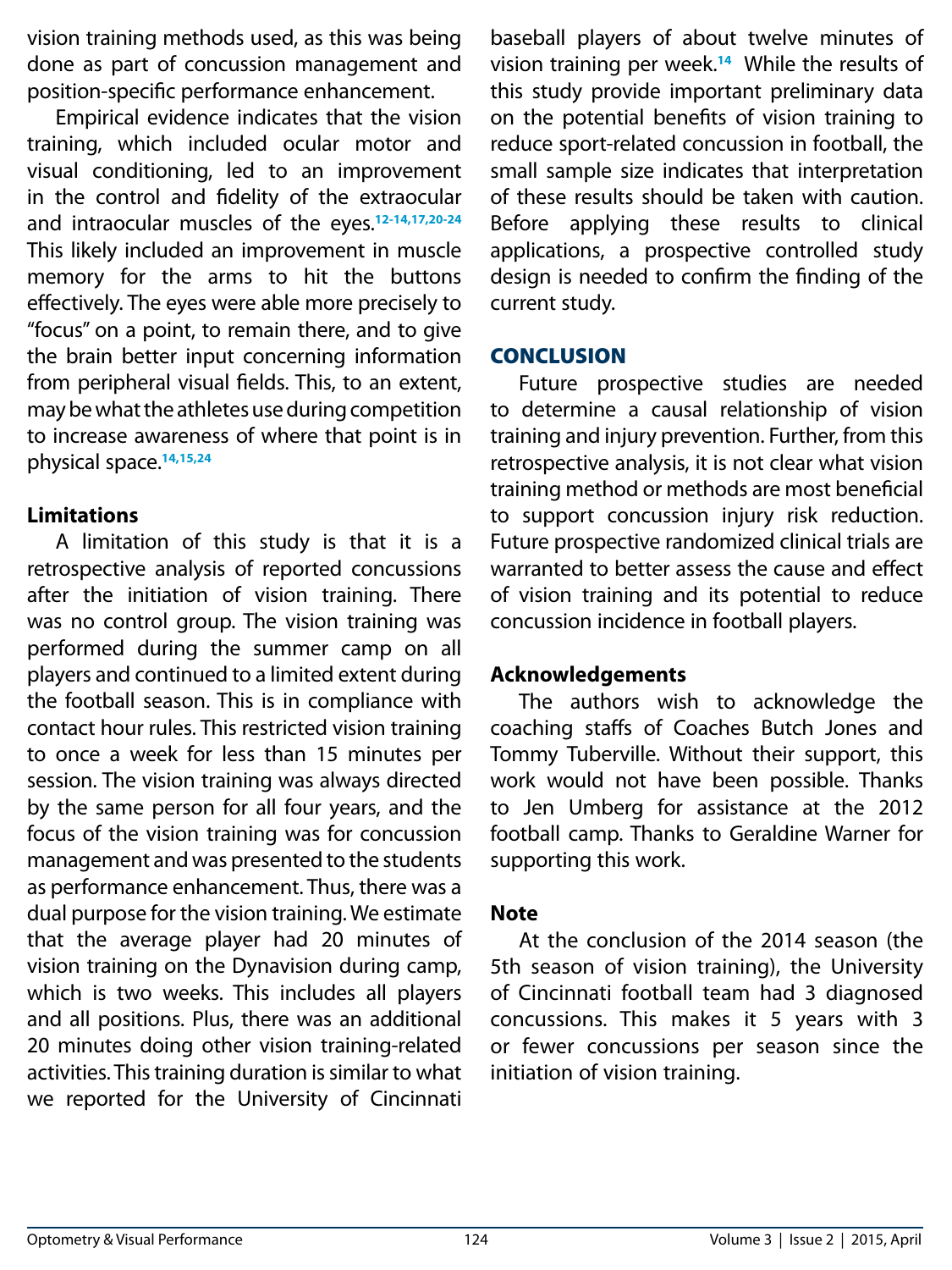vision training methods used, as this was being done as part of concussion management and position-specific performance enhancement.

Empirical evidence indicates that the vision training, which included ocular motor and visual conditioning, led to an improvement in the control and fidelity of the extraocular and intraocular muscles of the eyes.**12-14,17,20-24** This likely included an improvement in muscle memory for the arms to hit the buttons effectively. The eyes were able more precisely to "focus" on a point, to remain there, and to give the brain better input concerning information from peripheral visual fields. This, to an extent, may be what the athletes use during competition to increase awareness of where that point is in physical space.**14,15,24**

### **Limitations**

A limitation of this study is that it is a retrospective analysis of reported concussions after the initiation of vision training. There was no control group. The vision training was performed during the summer camp on all players and continued to a limited extent during the football season. This is in compliance with contact hour rules. This restricted vision training to once a week for less than 15 minutes per session. The vision training was always directed by the same person for all four years, and the focus of the vision training was for concussion management and was presented to the students as performance enhancement. Thus, there was a dual purpose for the vision training. We estimate that the average player had 20 minutes of vision training on the Dynavision during camp, which is two weeks. This includes all players and all positions. Plus, there was an additional 20 minutes doing other vision training-related activities. This training duration is similar to what we reported for the University of Cincinnati

baseball players of about twelve minutes of vision training per week.**<sup>14</sup>** While the results of this study provide important preliminary data on the potential benefits of vision training to reduce sport-related concussion in football, the small sample size indicates that interpretation of these results should be taken with caution. Before applying these results to clinical applications, a prospective controlled study design is needed to confirm the finding of the current study.

### **CONCLUSION**

Future prospective studies are needed to determine a causal relationship of vision training and injury prevention. Further, from this retrospective analysis, it is not clear what vision training method or methods are most beneficial to support concussion injury risk reduction. Future prospective randomized clinical trials are warranted to better assess the cause and effect of vision training and its potential to reduce concussion incidence in football players.

### **Acknowledgements**

The authors wish to acknowledge the coaching staffs of Coaches Butch Jones and Tommy Tuberville. Without their support, this work would not have been possible. Thanks to Jen Umberg for assistance at the 2012 football camp. Thanks to Geraldine Warner for supporting this work.

### **Note**

At the conclusion of the 2014 season (the 5th season of vision training), the University of Cincinnati football team had 3 diagnosed concussions. This makes it 5 years with 3 or fewer concussions per season since the initiation of vision training.